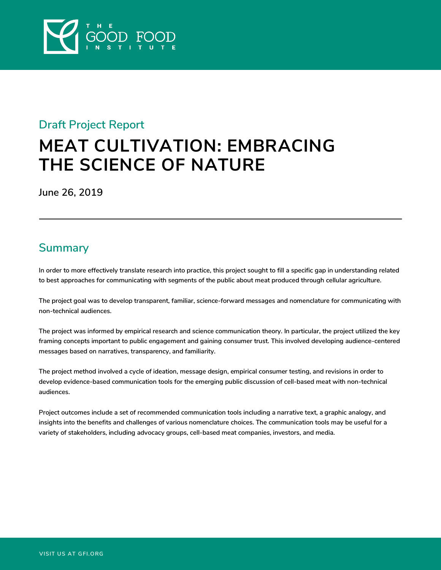

### **Draft Project Report**

# **MEAT CULTIVATION: EMBRACING THE SCIENCE OF NATURE**

**June 26, 2019**

# **Summary**

**In order to more effectively translate research into practice, this project sought to fill a specific gap in understanding related to best approaches for communicating with segments of the public about meat produced through cellular agriculture.** 

**The project goal was to develop transparent, familiar, science-forward messages and nomenclature for communicating with non-technical audiences.**

**The project was informed by empirical research and science communication theory. In particular, the project utilized the key framing concepts important to public engagement and gaining consumer trust. This involved developing audience-centered messages based on narratives, transparency, and familiarity.** 

**The project method involved a cycle of ideation, message design, empirical consumer testing, and revisions in order to develop evidence-based communication tools for the emerging public discussion of cell-based meat with non-technical audiences.**

**Project outcomes include a set of recommended communication tools including a narrative text, a graphic analogy, and insights into the benefits and challenges of various nomenclature choices. The communication tools may be useful for a variety of stakeholders, including advocacy groups, cell-based meat companies, investors, and media.**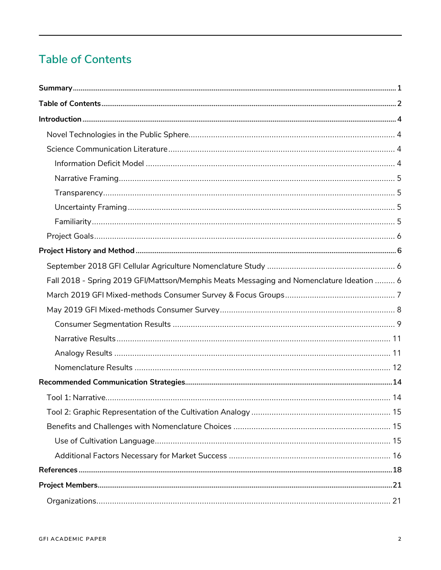# **Table of Contents**

| Fall 2018 - Spring 2019 GFI/Mattson/Memphis Meats Messaging and Nomenclature Ideation  6 |  |
|------------------------------------------------------------------------------------------|--|
|                                                                                          |  |
|                                                                                          |  |
|                                                                                          |  |
|                                                                                          |  |
|                                                                                          |  |
|                                                                                          |  |
|                                                                                          |  |
|                                                                                          |  |
|                                                                                          |  |
|                                                                                          |  |
|                                                                                          |  |
|                                                                                          |  |
|                                                                                          |  |
|                                                                                          |  |
|                                                                                          |  |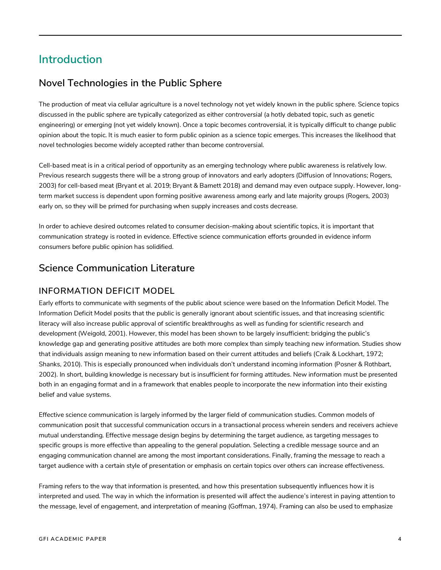# **Introduction**

### **Novel Technologies in the Public Sphere**

The production of meat via cellular agriculture is a novel technology not yet widely known in the public sphere. Science topics discussed in the public sphere are typically categorized as either *controversial* (a hotly debated topic, such as genetic engineering) or *emerging* (not yet widely known). Once a topic becomes controversial, it is typically difficult to change public opinion about the topic. It is much easier to form public opinion as a science topic emerges. This increases the likelihood that novel technologies become widely accepted rather than become controversial.

Cell-based meat is in a critical period of opportunity as an emerging technology where public awareness is relatively low. Previous research suggests there will be a strong group of innovators and early adopters (Diffusion of Innovations; Rogers, 2003) for cell-based meat (Bryant et al. 2019; Bryant & Barnett 2018) and demand may even outpace supply. However, longterm market success is dependent upon forming positive awareness among early and late majority groups (Rogers, 2003) early on, so they will be primed for purchasing when supply increases and costs decrease.

In order to achieve desired outcomes related to consumer decision-making about scientific topics, it is important that communication strategy is rooted in evidence. Effective science communication efforts grounded in evidence inform consumers before public opinion has solidified.

### **Science Communication Literature**

#### **INFORMATION DEFICIT MODEL**

Early efforts to communicate with segments of the public about science were based on the Information Deficit Model. The Information Deficit Model posits that the public is generally ignorant about scientific issues, and that increasing scientific literacy will also increase public approval of scientific breakthroughs as well as funding for scientific research and development (Weigold, 2001). However, this model has been shown to be largely insufficient: bridging the public's knowledge gap and generating positive attitudes are both more complex than simply teaching new information. Studies show that individuals assign meaning to new information based on their current attitudes and beliefs (Craik & Lockhart, 1972; Shanks, 2010). This is especially pronounced when individuals don't understand incoming information (Posner & Rothbart, 2002). In short, building knowledge is necessary but is insufficient for forming attitudes. New information must be presented both in an engaging format and in a framework that enables people to incorporate the new information into their existing belief and value systems.

Effective science communication is largely informed by the larger field of communication studies. Common models of communication posit that successful communication occurs in a transactional process wherein senders and receivers achieve mutual understanding. Effective message design begins by determining the target audience, as targeting messages to specific groups is more effective than appealing to the general population. Selecting a credible message source and an engaging communication channel are among the most important considerations. Finally, framing the message to reach a target audience with a certain style of presentation or emphasis on certain topics over others can increase effectiveness.

Framing refers to the way that information is presented, and how this presentation subsequently influences how it is interpreted and used. The way in which the information is presented will affect the audience's interest in paying attention to the message, level of engagement, and interpretation of meaning (Goffman, 1974). Framing can also be used to emphasize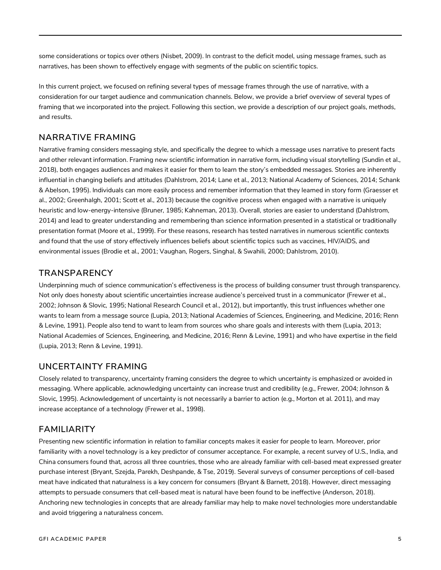some considerations or topics over others (Nisbet, 2009). In contrast to the deficit model, using message frames, such as narratives, has been shown to effectively engage with segments of the public on scientific topics.

In this current project, we focused on refining several types of message frames through the use of narrative, with a consideration for our target audience and communication channels. Below, we provide a brief overview of several types of framing that we incorporated into the project. Following this section, we provide a description of our project goals, methods, and results.

#### **NARRATIVE FRAMING**

Narrative framing considers messaging style, and specifically the degree to which a message uses narrative to present facts and other relevant information. Framing new scientific information in narrative form, including visual storytelling (Sundin et al., 2018), both engages audiences and makes it easier for them to learn the story's embedded messages. Stories are inherently influential in changing beliefs and attitudes (Dahlstrom, 2014; Lane et al., 2013; National Academy of Sciences, 2014; Schank & Abelson, 1995). Individuals can more easily process and remember information that they learned in story form (Graesser et al., 2002; Greenhalgh, 2001; Scott et al., 2013) because the cognitive process when engaged with a narrative is uniquely heuristic and low-energy-intensive (Bruner, 1985; Kahneman, 2013). Overall, stories are easier to understand (Dahlstrom, 2014) and lead to greater understanding and remembering than science information presented in a statistical or traditionally presentation format (Moore et al., 1999). For these reasons, research has tested narratives in numerous scientific contexts and found that the use of story effectively influences beliefs about scientific topics such as vaccines, HIV/AIDS, and environmental issues (Brodie et al., 2001; Vaughan, Rogers, Singhal, & Swahili, 2000; Dahlstrom, 2010).

#### **TRANSPARENCY**

Underpinning much of science communication's effectiveness is the process of building consumer trust through transparency. Not only does honesty about scientific uncertainties increase audience's perceived trust in a communicator (Frewer et al., 2002; Johnson & Slovic, 1995; National Research Council et al., 2012), but importantly, this trust influences whether one wants to learn from a message source (Lupia, 2013; National Academies of Sciences, Engineering, and Medicine, 2016; Renn & Levine, 1991). People also tend to want to learn from sources who share goals and interests with them (Lupia, 2013; National Academies of Sciences, Engineering, and Medicine, 2016; Renn & Levine, 1991) and who have expertise in the field (Lupia, 2013; Renn & Levine, 1991).

#### **UNCERTAINTY FRAMING**

Closely related to transparency, uncertainty framing considers the degree to which uncertainty is emphasized or avoided in messaging. Where applicable, acknowledging uncertainty can increase trust and credibility (e.g., Frewer, 2004; Johnson & Slovic, 1995). Acknowledgement of uncertainty is not necessarily a barrier to action (e.g., Morton et al. 2011), and may increase acceptance of a technology (Frewer et al., 1998).

#### **FAMILIARITY**

Presenting new scientific information in relation to familiar concepts makes it easier for people to learn. Moreover, prior familiarity with a novel technology is a key predictor of consumer acceptance. For example, a recent survey of U.S., India, and China consumers found that, across all three countries, those who are already familiar with cell-based meat expressed greater purchase interest (Bryant, Szejda, Parekh, Deshpande, & Tse, 2019). Several surveys of consumer perceptions of cell-based meat have indicated that naturalness is a key concern for consumers (Bryant & Barnett, 2018). However, direct messaging attempts to persuade consumers that cell-based meat is natural have been found to be ineffective (Anderson, 2018). Anchoring new technologies in concepts that are already familiar may help to make novel technologies more understandable and avoid triggering a naturalness concern.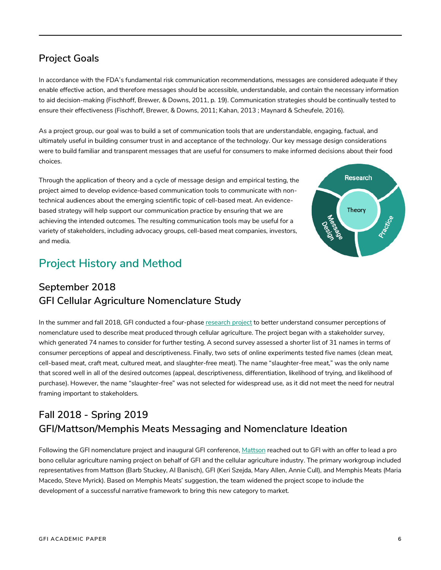# **Project Goals**

In accordance with the FDA's fundamental risk communication recommendations, messages are considered adequate if they enable effective action, and therefore messages should be accessible, understandable, and contain the necessary information to aid decision-making (Fischhoff, Brewer, & Downs, 2011, p. 19). Communication strategies should be continually tested to ensure their effectiveness (Fischhoff, Brewer, & Downs, 2011; Kahan, 2013 ; Maynard & Scheufele, 2016).

As a project group, our goal was to build a set of communication tools that are understandable, engaging, factual, and ultimately useful in building consumer trust in and acceptance of the technology. Our key message design considerations were to build familiar and transparent messages that are useful for consumers to make informed decisions about their food choices.

Through the application of theory and a cycle of message design and empirical testing, the project aimed to develop evidence-based communication tools to communicate with nontechnical audiences about the emerging scientific topic of cell-based meat. An evidencebased strategy will help support our communication practice by ensuring that we are achieving the intended outcomes. The resulting communication tools may be useful for a variety of stakeholders, including advocacy groups, cell-based meat companies, investors, and media.



# **Project History and Method**

# **September 2018 GFI Cellular Agriculture Nomenclature Study**

In the summer and fall 2018, GFI conducted a four-phase research project to better understand consumer perceptions of nomenclature used to describe meat produced through cellular agriculture. The project began with a stakeholder survey, which generated 74 names to consider for further testing. A second survey assessed a shorter list of 31 names in terms of consumer perceptions of appeal and descriptiveness. Finally, two sets of online experiments tested five names (clean meat, cell-based meat, craft meat, cultured meat, and slaughter-free meat). The name "slaughter-free meat," was the only name that scored well in all of the desired outcomes (appeal, descriptiveness, differentiation, likelihood of trying, and likelihood of purchase). However, the name "slaughter-free" was not selected for widespread use, as it did not meet the need for neutral framing important to stakeholders.

# **Fall 2018 - Spring 2019 GFI/Mattson/Memphis Meats Messaging and Nomenclature Ideation**

Following the GFI nomenclature project and inaugural GFI conference, Mattson reached out to GFI with an offer to lead a pro bono cellular agriculture naming project on behalf of GFI and the cellular agriculture industry. The primary workgroup included representatives from Mattson (Barb Stuckey, Al Banisch), GFI (Keri Szejda, Mary Allen, Annie Cull), and Memphis Meats (Maria Macedo, Steve Myrick). Based on Memphis Meats' suggestion, the team widened the project scope to include the development of a successful narrative framework to bring this new category to market.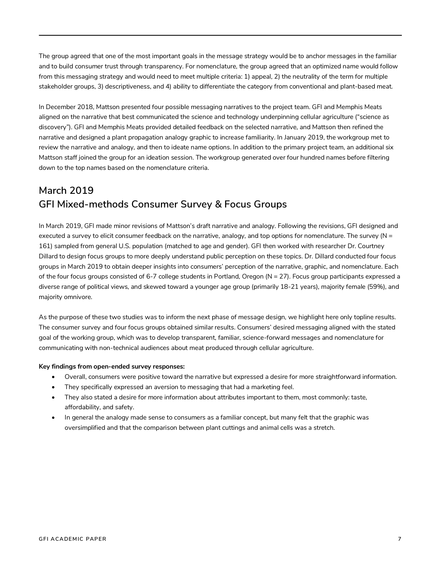The group agreed that one of the most important goals in the message strategy would be to anchor messages in the familiar and to build consumer trust through transparency. For nomenclature, the group agreed that an optimized name would follow from this messaging strategy and would need to meet multiple criteria: 1) appeal, 2) the neutrality of the term for multiple stakeholder groups, 3) descriptiveness, and 4) ability to differentiate the category from conventional and plant-based meat.

In December 2018, Mattson presented four possible messaging narratives to the project team. GFI and Memphis Meats aligned on the narrative that best communicated the science and technology underpinning cellular agriculture ("science as discovery"). GFI and Memphis Meats provided detailed feedback on the selected narrative, and Mattson then refined the narrative and designed a plant propagation analogy graphic to increase familiarity. In January 2019, the workgroup met to review the narrative and analogy, and then to ideate name options. In addition to the primary project team, an additional six Mattson staff joined the group for an ideation session. The workgroup generated over four hundred names before filtering down to the top names based on the nomenclature criteria.

# **March 2019 GFI Mixed-methods Consumer Survey & Focus Groups**

In March 2019, GFI made minor revisions of Mattson's draft narrative and analogy. Following the revisions, GFI designed and executed a survey to elicit consumer feedback on the narrative, analogy, and top options for nomenclature. The survey ( $N =$ 161) sampled from general U.S. population (matched to age and gender). GFI then worked with researcher Dr. Courtney Dillard to design focus groups to more deeply understand public perception on these topics. Dr. Dillard conducted four focus groups in March 2019 to obtain deeper insights into consumers' perception of the narrative, graphic, and nomenclature. Each of the four focus groups consisted of 6-7 college students in Portland, Oregon (N = 27). Focus group participants expressed a diverse range of political views, and skewed toward a younger age group (primarily 18-21 years), majority female (59%), and majority omnivore.

As the purpose of these two studies was to inform the next phase of message design, we highlight here only topline results. The consumer survey and four focus groups obtained similar results. Consumers' desired messaging aligned with the stated goal of the working group, which was to develop transparent, familiar, science-forward messages and nomenclature for communicating with non-technical audiences about meat produced through cellular agriculture.

#### **Key findings from open-ended survey responses:**

- Overall, consumers were positive toward the narrative but expressed a desire for more straightforward information.
- They specifically expressed an aversion to messaging that had a marketing feel.
- They also stated a desire for more information about attributes important to them, most commonly: taste, affordability, and safety.
- In general the analogy made sense to consumers as a familiar concept, but many felt that the graphic was oversimplified and that the comparison between plant cuttings and animal cells was a stretch.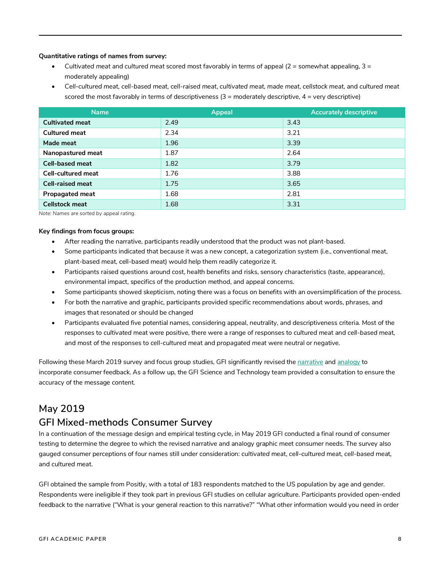#### **Quantitative ratings of names from survey:**

- *Cultivated meat* and *cultured meat* scored most favorably in terms of appeal (2 = somewhat appealing, 3 = moderately appealing)
- *Cell-cultured meat*, *cell-based meat*, *cell-raised meat*, *cultivated meat*, *made meat*, *cellstock meat*, and *cultured meat* scored the most favorably in terms of descriptiveness  $(3 =$  moderately descriptive,  $4 =$  very descriptive)

| <b>Name</b>               | <b>Appeal</b> | <b>Accurately descriptive</b> |
|---------------------------|---------------|-------------------------------|
| <b>Cultivated meat</b>    | 2.49          | 3.43                          |
| <b>Cultured meat</b>      | 2.34          | 3.21                          |
| Made meat                 | 1.96          | 3.39                          |
| Nanopastured meat         | 1.87          | 2.64                          |
| <b>Cell-based meat</b>    | 1.82          | 3.79                          |
| <b>Cell-cultured meat</b> | 1.76          | 3.88                          |
| <b>Cell-raised meat</b>   | 1.75          | 3.65                          |
| <b>Propagated meat</b>    | 1.68          | 2.81                          |
| <b>Cellstock meat</b>     | 1.68          | 3.31                          |

*Note: Names are sorted by appeal rating.*

#### **Key findings from focus groups:**

- After reading the narrative, participants readily understood that the product was not plant-based.
- Some participants indicated that because it was a new concept, a categorization system (i.e., conventional meat, plant-based meat, cell-based meat) would help them readily categorize it.
- Participants raised questions around cost, health benefits and risks, sensory characteristics (taste, appearance), environmental impact, specifics of the production method, and appeal concerns.
- Some participants showed skepticism, noting there was a focus on benefits with an oversimplification of the process.
- For both the narrative and graphic, participants provided specific recommendations about words, phrases, and images that resonated or should be changed
- Participants evaluated five potential names, considering appeal, neutrality, and descriptiveness criteria. Most of the responses to *cultivated* meat were positive, there were a range of responses to *cultured* meat and *cell-based* meat, and most of the responses to *cell-cultured* meat and *propagated meat* were neutral or negative.

Following these March 2019 survey and focus group studies, GFI significantly revised the narrative and analogy to incorporate consumer feedback. As a follow up, the GFI Science and Technology team provided a consultation to ensure the accuracy of the message content.

### **May 2019**

### **GFI Mixed-methods Consumer Survey**

In a continuation of the message design and empirical testing cycle, in May 2019 GFI conducted a final round of consumer testing to determine the degree to which the revised narrative and analogy graphic meet consumer needs. The survey also gauged consumer perceptions of four names still under consideration: *cultivated* meat, *cell-cultured* meat, *cell-based* meat, and *cultured* meat.

GFI obtained the sample from Positly, with a total of 183 respondents matched to the US population by age and gender. Respondents were ineligible if they took part in previous GFI studies on cellular agriculture. Participants provided open-ended feedback to the narrative ("What is your general reaction to this narrative?" "What other information would you need in order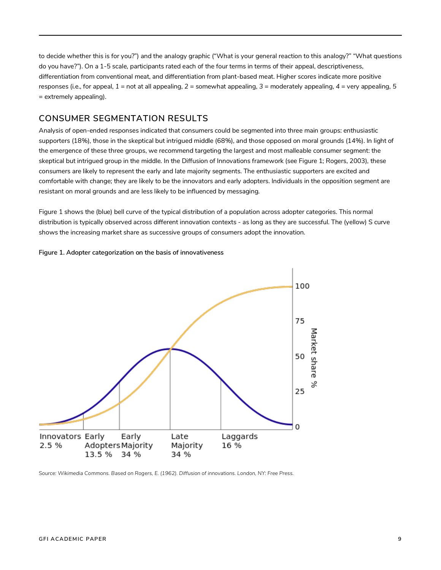to decide whether this is for you?") and the analogy graphic ("What is your general reaction to this analogy?" "What questions do you have?"). On a 1-5 scale, participants rated each of the four terms in terms of their appeal, descriptiveness, differentiation from conventional meat, and differentiation from plant-based meat. Higher scores indicate more positive responses (i.e., for appeal, *1* = not at all appealing, *2* = somewhat appealing, *3* = moderately appealing, *4* = very appealing, *5* = extremely appealing).

### **CONSUMER SEGMENTATION RESULTS**

Analysis of open-ended responses indicated that consumers could be segmented into three main groups: enthusiastic supporters (18%), those in the skeptical but intrigued middle (68%), and those opposed on moral grounds (14%). In light of the emergence of these three groups, we recommend targeting the largest and most malleable consumer segment: the skeptical but intrigued group in the middle. In the Diffusion of Innovations framework (see Figure 1; Rogers, 2003), these consumers are likely to represent the early and late majority segments. The enthusiastic supporters are excited and comfortable with change; they are likely to be the innovators and early adopters. Individuals in the opposition segment are resistant on moral grounds and are less likely to be influenced by messaging.

Figure 1 shows the (blue) bell curve of the typical distribution of a population across adopter categories. This normal distribution is typically observed across different innovation contexts - as long as they are successful. The (yellow) S curve shows the increasing market share as successive groups of consumers adopt the innovation.

**Figure 1. Adopter categorization on the basis of innovativeness**



*Source: Wikimedia Commons. Based on Rogers, E. (1962). Diffusion of innovations. London, NY: Free Press.*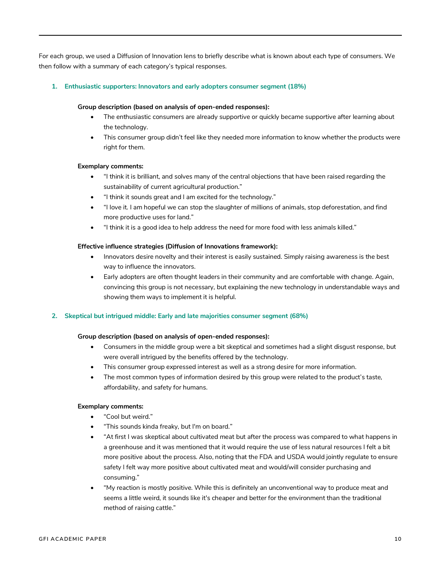For each group, we used a Diffusion of Innovation lens to briefly describe what is known about each type of consumers. We then follow with a summary of each category's typical responses.

#### **1. Enthusiastic supporters: Innovators and early adopters consumer segment (18%)**

#### **Group description (based on analysis of open-ended responses):**

- The enthusiastic consumers are already supportive or quickly became supportive after learning about the technology.
- This consumer group didn't feel like they needed more information to know whether the products were right for them.

#### **Exemplary comments:**

- "I think it is brilliant, and solves many of the central objections that have been raised regarding the sustainability of current agricultural production."
- "I think it sounds great and I am excited for the technology."
- "I love it. I am hopeful we can stop the slaughter of millions of animals, stop deforestation, and find more productive uses for land."
- "I think it is a good idea to help address the need for more food with less animals killed."

#### **Effective influence strategies (Diffusion of Innovations framework):**

- Innovators desire novelty and their interest is easily sustained. Simply raising awareness is the best way to influence the innovators.
- Early adopters are often thought leaders in their community and are comfortable with change. Again, convincing this group is not necessary, but explaining the new technology in understandable ways and showing them ways to implement it is helpful.

#### **2. Skeptical but intrigued middle: Early and late majorities consumer segment (68%)**

#### **Group description (based on analysis of open-ended responses):**

- Consumers in the middle group were a bit skeptical and sometimes had a slight disgust response, but were overall intrigued by the benefits offered by the technology.
- This consumer group expressed interest as well as a strong desire for more information.
- The most common types of information desired by this group were related to the product's taste, affordability, and safety for humans.

#### **Exemplary comments:**

- "Cool but weird."
- "This sounds kinda freaky, but I'm on board."
- "At first I was skeptical about cultivated meat but after the process was compared to what happens in a greenhouse and it was mentioned that it would require the use of less natural resources I felt a bit more positive about the process. Also, noting that the FDA and USDA would jointly regulate to ensure safety I felt way more positive about cultivated meat and would/will consider purchasing and consuming."
- "My reaction is mostly positive. While this is definitely an unconventional way to produce meat and seems a little weird, it sounds like it's cheaper and better for the environment than the traditional method of raising cattle."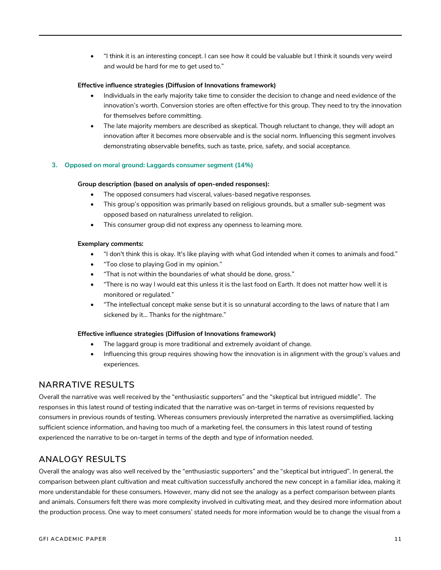• "I think it is an interesting concept. I can see how it could be valuable but I think it sounds very weird and would be hard for me to get used to."

#### **Effective influence strategies (Diffusion of Innovations framework)**

- Individuals in the early majority take time to consider the decision to change and need evidence of the innovation's worth. Conversion stories are often effective for this group. They need to try the innovation for themselves before committing.
- The late majority members are described as skeptical. Though reluctant to change, they will adopt an innovation after it becomes more observable and is the social norm. Influencing this segment involves demonstrating observable benefits, such as taste, price, safety, and social acceptance.

#### **3. Opposed on moral ground: Laggards consumer segment (14%)**

#### **Group description (based on analysis of open-ended responses):**

- The opposed consumers had visceral, values-based negative responses.
- This group's opposition was primarily based on religious grounds, but a smaller sub-segment was opposed based on naturalness unrelated to religion.
- This consumer group did not express any openness to learning more.

#### **Exemplary comments:**

- "I don't think this is okay. It's like playing with what God intended when it comes to animals and food."
- "Too close to playing God in my opinion."
- "That is not within the boundaries of what should be done, gross."
- "There is no way I would eat this unless it is the last food on Earth. It does not matter how well it is monitored or regulated."
- "The intellectual concept make sense but it is so unnatural according to the laws of nature that I am sickened by it… Thanks for the nightmare."

#### **Effective influence strategies (Diffusion of Innovations framework)**

- The laggard group is more traditional and extremely avoidant of change.
- Influencing this group requires showing how the innovation is in alignment with the group's values and experiences.

#### **NARRATIVE RESULTS**

Overall the narrative was well received by the "enthusiastic supporters" and the "skeptical but intrigued middle". The responses in this latest round of testing indicated that the narrative was on-target in terms of revisions requested by consumers in previous rounds of testing. Whereas consumers previously interpreted the narrative as oversimplified, lacking sufficient science information, and having too much of a marketing feel, the consumers in this latest round of testing experienced the narrative to be on-target in terms of the depth and type of information needed.

### **ANALOGY RESULTS**

Overall the analogy was also well received by the "enthusiastic supporters" and the "skeptical but intrigued". In general, the comparison between plant cultivation and meat cultivation successfully anchored the new concept in a familiar idea, making it more understandable for these consumers. However, many did not see the analogy as a perfect comparison between plants and animals. Consumers felt there was more complexity involved in cultivating meat, and they desired more information about the production process. One way to meet consumers' stated needs for more information would be to change the visual from a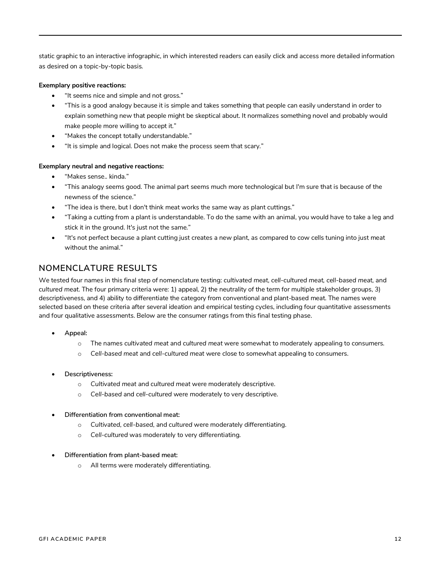static graphic to an interactive infographic, in which interested readers can easily click and access more detailed information as desired on a topic-by-topic basis.

#### **Exemplary positive reactions:**

- "It seems nice and simple and not gross."
- "This is a good analogy because it is simple and takes something that people can easily understand in order to explain something new that people might be skeptical about. It normalizes something novel and probably would make people more willing to accept it."
- "Makes the concept totally understandable."
- "It is simple and logical. Does not make the process seem that scary."

#### **Exemplary neutral and negative reactions:**

- "Makes sense.. kinda."
- "This analogy seems good. The animal part seems much more technological but I'm sure that is because of the newness of the science."
- "The idea is there, but I don't think meat works the same way as plant cuttings."
- "Taking a cutting from a plant is understandable. To do the same with an animal, you would have to take a leg and stick it in the ground. It's just not the same."
- "It's not perfect because a plant cutting just creates a new plant, as compared to cow cells tuning into just meat without the animal."

### **NOMENCLATURE RESULTS**

We tested four names in this final step of nomenclature testing: *cultivated meat, cell-cultured meat, cell-based meat,* and *cultured meat.* The four primary criteria were: 1) appeal, 2) the neutrality of the term for multiple stakeholder groups, 3) descriptiveness, and 4) ability to differentiate the category from conventional and plant-based meat. The names were selected based on these criteria after several ideation and empirical testing cycles, including four quantitative assessments and four qualitative assessments. Below are the consumer ratings from this final testing phase.

- **Appeal:** 
	- o The names *cultivated meat* and *cultured meat* were somewhat to moderately appealing to consumers.
	- o *Cell-based meat* and *cell-cultured meat* were close to somewhat appealing to consumers.
- **Descriptiveness:** 
	- o *Cultivated meat* and *cultured meat* were moderately descriptive.
	- o *Cell-based* and *cell-cultured* were moderately to very descriptive.
- **Differentiation from conventional meat:**
	- o *Cultivated, cell-based*, and *cultured* were moderately differentiating.
	- o *Cell-cultured* was moderately to very differentiating.
- **Differentiation from plant-based meat:**
	- o All terms were moderately differentiating.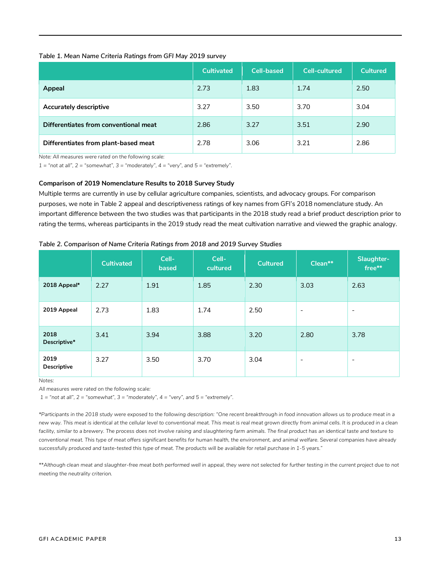#### *Table 1. Mean Name Criteria Ratings from GFI May 2019 survey*

|                                       | <b>Cultivated</b> | <b>Cell-based</b> | <b>Cell-cultured</b> | <b>Cultured</b> |
|---------------------------------------|-------------------|-------------------|----------------------|-----------------|
| Appeal                                | 2.73              | 1.83              | 1.74                 | 2.50            |
| <b>Accurately descriptive</b>         | 3.27              | 3.50              | 3.70                 | 3.04            |
| Differentiates from conventional meat | 2.86              | 3.27              | 3.51                 | 2.90            |
| Differentiates from plant-based meat  | 2.78              | 3.06              | 3.21                 | 2.86            |

*Note: All measures were rated on the following scale:* 

 $1 =$  "not at all",  $2 =$  "somewhat",  $3 =$  "moderately",  $4 =$  "very", and  $5 =$  "extremely".

#### **Comparison of 2019 Nomenclature Results to 2018 Survey Study**

Multiple terms are currently in use by cellular agriculture companies, scientists, and advocacy groups. For comparison purposes, we note in Table 2 appeal and descriptiveness ratings of key names from GFI's 2018 nomenclature study. An important difference between the two studies was that participants in the 2018 study read a brief product description prior to rating the terms, whereas participants in the 2019 study read the meat cultivation narrative and viewed the graphic analogy.

|                            | <b>Cultivated</b> | Cell-<br>based | Cell-<br>cultured | <b>Cultured</b> | Clean**                  | Slaughter-<br>free**     |
|----------------------------|-------------------|----------------|-------------------|-----------------|--------------------------|--------------------------|
| 2018 Appeal*               | 2.27              | 1.91           | 1.85              | 2.30            | 3.03                     | 2.63                     |
| 2019 Appeal                | 2.73              | 1.83           | 1.74              | 2.50            | $\overline{\phantom{a}}$ | $\overline{\phantom{a}}$ |
| 2018<br>Descriptive*       | 3.41              | 3.94           | 3.88              | 3.20            | 2.80                     | 3.78                     |
| 2019<br><b>Descriptive</b> | 3.27              | 3.50           | 3.70              | 3.04            | $\overline{\phantom{a}}$ | $\overline{\phantom{a}}$ |

*Table 2. Comparison of Name Criteria Ratings from 2018 and 2019 Survey Studies*

*Notes:*

*All measures were rated on the following scale:*

 $1 =$  "not at all",  $2 =$  "somewhat",  $3 =$  "moderately",  $4 =$  "very", and  $5 =$  "extremely".

*\*Participants in the 2018 study were exposed to the following description: "One recent breakthrough in food innovation allows us to produce meat in a new way. This meat is identical at the cellular level to conventional meat. This meat is real meat grown directly from animal cells. It is produced in a clean facility, similar to a brewery. The process does not involve raising and slaughtering farm animals. The final product has an identical taste and texture to conventional meat. This type of meat offers significant benefits for human health, the environment, and animal welfare. Several companies have already successfully produced and taste-tested this type of meat. The products will be available for retail purchase in 1-5 years."*

\*\*Although clean meat and slaughter-free meat both performed well in appeal, they were not selected for further testing in the current project due to not *meeting the neutrality criterion.*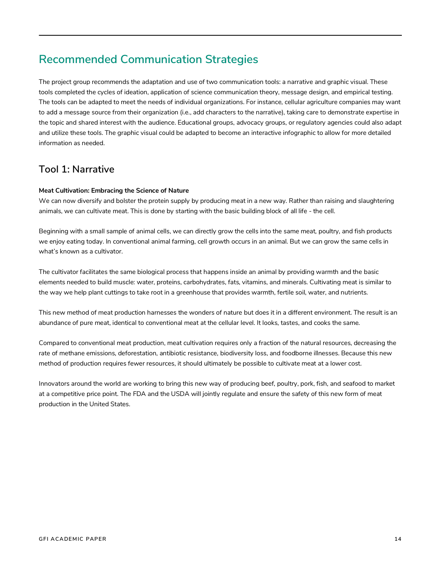# **Recommended Communication Strategies**

The project group recommends the adaptation and use of two communication tools: a narrative and graphic visual. These tools completed the cycles of ideation, application of science communication theory, message design, and empirical testing. The tools can be adapted to meet the needs of individual organizations. For instance, cellular agriculture companies may want to add a message source from their organization (i.e., add characters to the narrative), taking care to demonstrate expertise in the topic and shared interest with the audience. Educational groups, advocacy groups, or regulatory agencies could also adapt and utilize these tools. The graphic visual could be adapted to become an interactive infographic to allow for more detailed information as needed.

### **Tool 1: Narrative**

#### **Meat Cultivation: Embracing the Science of Nature**

We can now diversify and bolster the protein supply by producing meat in a new way. Rather than raising and slaughtering animals, we can cultivate meat. This is done by starting with the basic building block of all life - the cell.

Beginning with a small sample of animal cells, we can directly grow the cells into the same meat, poultry, and fish products we enjoy eating today. In conventional animal farming, cell growth occurs in an animal. But we can grow the same cells in what's known as a cultivator.

The cultivator facilitates the same biological process that happens inside an animal by providing warmth and the basic elements needed to build muscle: water, proteins, carbohydrates, fats, vitamins, and minerals. Cultivating meat is similar to the way we help plant cuttings to take root in a greenhouse that provides warmth, fertile soil, water, and nutrients.

This new method of meat production harnesses the wonders of nature but does it in a different environment. The result is an abundance of pure meat, identical to conventional meat at the cellular level. It looks, tastes, and cooks the same.

Compared to conventional meat production, meat cultivation requires only a fraction of the natural resources, decreasing the rate of methane emissions, deforestation, antibiotic resistance, biodiversity loss, and foodborne illnesses. Because this new method of production requires fewer resources, it should ultimately be possible to cultivate meat at a lower cost.

Innovators around the world are working to bring this new way of producing beef, poultry, pork, fish, and seafood to market at a competitive price point. The FDA and the USDA will jointly regulate and ensure the safety of this new form of meat production in the United States.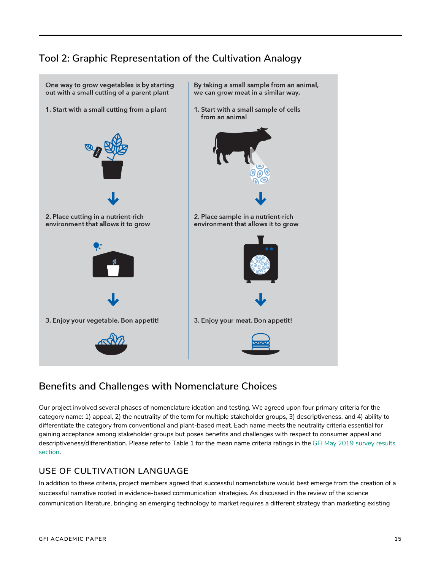# **Tool 2: Graphic Representation of the Cultivation Analogy**



### **Benefits and Challenges with Nomenclature Choices**

Our project involved several phases of nomenclature ideation and testing. We agreed upon four primary criteria for the category name: 1) appeal, 2) the neutrality of the term for multiple stakeholder groups, 3) descriptiveness, and 4) ability to differentiate the category from conventional and plant-based meat. Each name meets the neutrality criteria essential for gaining acceptance among stakeholder groups but poses benefits and challenges with respect to consumer appeal and descriptiveness/differentiation. Please refer to Table 1 for the mean name criteria ratings in the GFI May 2019 survey results section.

### **USE OF CULTIVATION LANGUAGE**

In addition to these criteria, project members agreed that successful nomenclature would best emerge from the creation of a successful narrative rooted in evidence-based communication strategies. As discussed in the review of the science communication literature, bringing an emerging technology to market requires a different strategy than marketing existing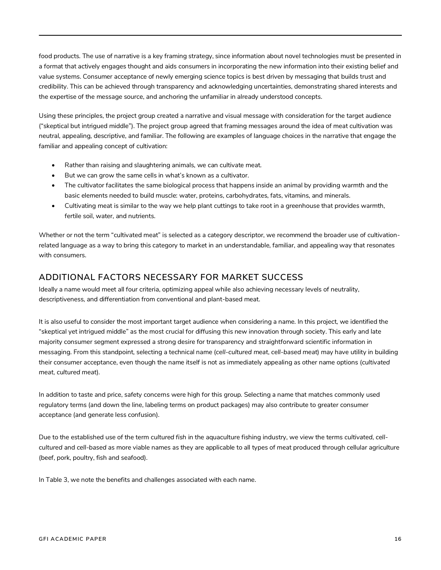food products. The use of narrative is a key framing strategy, since information about novel technologies must be presented in a format that actively engages thought and aids consumers in incorporating the new information into their existing belief and value systems. Consumer acceptance of newly emerging science topics is best driven by messaging that builds trust and credibility. This can be achieved through transparency and acknowledging uncertainties, demonstrating shared interests and the expertise of the message source, and anchoring the unfamiliar in already understood concepts.

Using these principles, the project group created a narrative and visual message with consideration for the target audience ("skeptical but intrigued middle"). The project group agreed that framing messages around the idea of meat cultivation was neutral, appealing, descriptive, and familiar. The following are examples of language choices in the narrative that engage the familiar and appealing concept of cultivation:

- Rather than raising and slaughtering animals, we can cultivate meat.
- But we can grow the same cells in what's known as a cultivator.
- The cultivator facilitates the same biological process that happens inside an animal by providing warmth and the basic elements needed to build muscle: water, proteins, carbohydrates, fats, vitamins, and minerals.
- Cultivating meat is similar to the way we help plant cuttings to take root in a greenhouse that provides warmth, fertile soil, water, and nutrients.

Whether or not the term "cultivated meat" is selected as a category descriptor, we recommend the broader use of cultivationrelated language as a way to bring this category to market in an understandable, familiar, and appealing way that resonates with consumers.

### **ADDITIONAL FACTORS NECESSARY FOR MARKET SUCCESS**

Ideally a name would meet all four criteria, optimizing appeal while also achieving necessary levels of neutrality, descriptiveness, and differentiation from conventional and plant-based meat.

It is also useful to consider the most important target audience when considering a name. In this project, we identified the "skeptical yet intrigued middle" as the most crucial for diffusing this new innovation through society. This early and late majority consumer segment expressed a strong desire for transparency and straightforward scientific information in messaging. From this standpoint, selecting a technical name (*cell-cultured meat*, *cell-based meat*) may have utility in building their consumer acceptance, even though the name itself is not as immediately appealing as other name options (*cultivated meat*, *cultured meat*).

In addition to taste and price, safety concerns were high for this group. Selecting a name that matches commonly used regulatory terms (and down the line, labeling terms on product packages) may also contribute to greater consumer acceptance (and generate less confusion).

Due to the established use of the term *cultured fish* in the aquaculture fishing industry, we view the terms *cultivated*, *cellcultured* and *cell-based* as more viable names as they are applicable to all types of meat produced through cellular agriculture (beef, pork, poultry, fish and seafood).

In Table 3, we note the benefits and challenges associated with each name.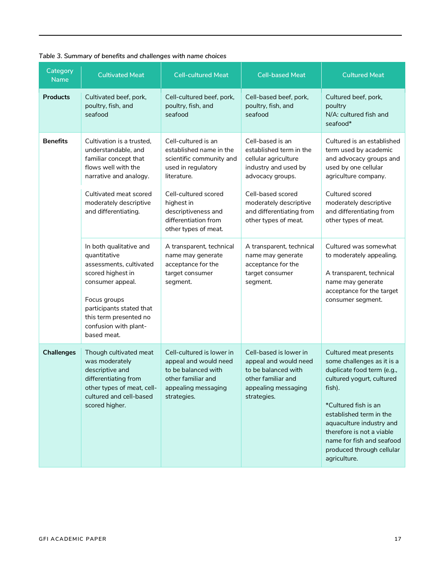| Category<br><b>Name</b> | <b>Cultivated Meat</b>                                                                                                                                                                                                    | <b>Cell-cultured Meat</b>                                                                                                             | <b>Cell-based Meat</b>                                                                                                             | <b>Cultured Meat</b>                                                                                                                                                                                                                                                                                            |
|-------------------------|---------------------------------------------------------------------------------------------------------------------------------------------------------------------------------------------------------------------------|---------------------------------------------------------------------------------------------------------------------------------------|------------------------------------------------------------------------------------------------------------------------------------|-----------------------------------------------------------------------------------------------------------------------------------------------------------------------------------------------------------------------------------------------------------------------------------------------------------------|
| <b>Products</b>         | Cultivated beef, pork,<br>poultry, fish, and<br>seafood                                                                                                                                                                   | Cell-cultured beef, pork,<br>poultry, fish, and<br>seafood                                                                            | Cell-based beef, pork,<br>poultry, fish, and<br>seafood                                                                            | Cultured beef, pork,<br>poultry<br>N/A: cultured fish and<br>seafood*                                                                                                                                                                                                                                           |
| <b>Benefits</b>         | Cultivation is a trusted,<br>understandable, and<br>familiar concept that<br>flows well with the<br>narrative and analogy.                                                                                                | Cell-cultured is an<br>established name in the<br>scientific community and<br>used in regulatory<br>literature.                       | Cell-based is an<br>established term in the<br>cellular agriculture<br>industry and used by<br>advocacy groups.                    | Cultured is an established<br>term used by academic<br>and advocacy groups and<br>used by one cellular<br>agriculture company.                                                                                                                                                                                  |
|                         | Cultivated meat scored<br>moderately descriptive<br>and differentiating.                                                                                                                                                  | Cell-cultured scored<br>highest in<br>descriptiveness and<br>differentiation from<br>other types of meat.                             | Cell-based scored<br>moderately descriptive<br>and differentiating from<br>other types of meat.                                    | Cultured scored<br>moderately descriptive<br>and differentiating from<br>other types of meat.                                                                                                                                                                                                                   |
|                         | In both qualitative and<br>quantitative<br>assessments, cultivated<br>scored highest in<br>consumer appeal.<br>Focus groups<br>participants stated that<br>this term presented no<br>confusion with plant-<br>based meat. | A transparent, technical<br>name may generate<br>acceptance for the<br>target consumer<br>segment.                                    | A transparent, technical<br>name may generate<br>acceptance for the<br>target consumer<br>segment.                                 | Cultured was somewhat<br>to moderately appealing.<br>A transparent, technical<br>name may generate<br>acceptance for the target<br>consumer segment.                                                                                                                                                            |
| <b>Challenges</b>       | Though cultivated meat<br>was moderately<br>descriptive and<br>differentiating from<br>other types of meat, cell-<br>cultured and cell-based<br>scored higher.                                                            | Cell-cultured is lower in<br>appeal and would need<br>to be balanced with<br>other familiar and<br>appealing messaging<br>strategies. | Cell-based is lower in<br>appeal and would need<br>to be balanced with<br>other familiar and<br>appealing messaging<br>strategies. | Cultured meat presents<br>some challenges as it is a<br>duplicate food term (e.g.,<br>cultured yogurt, cultured<br>fish).<br>*Cultured fish is an<br>established term in the<br>aquaculture industry and<br>therefore is not a viable<br>name for fish and seafood<br>produced through cellular<br>agriculture. |

### *Table 3. Summary of benefits and challenges with name choices*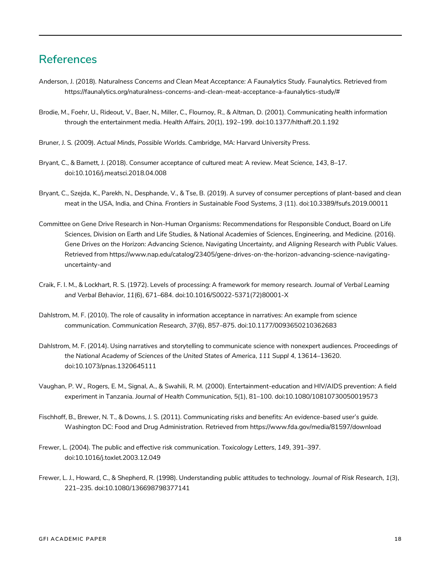# **References**

- Anderson, J. (2018). *Naturalness Concerns and Clean Meat Acceptance: A Faunalytics Study.* Faunalytics. Retrieved from https://faunalytics.org/naturalness-concerns-and-clean-meat-acceptance-a-faunalytics-study/#
- Brodie, M., Foehr, U., Rideout, V., Baer, N., Miller, C., Flournoy, R., & Altman, D. (2001). Communicating health information through the entertainment media. *Health Affairs*, *20*(1), 192–199. doi:10.1377/hlthaff.20.1.192
- Bruner, J. S. (2009). *Actual Minds, Possible Worlds*. Cambridge, MA: Harvard University Press.
- Bryant, C., & Barnett, J. (2018). Consumer acceptance of cultured meat: A review. *Meat Science*, *143*, 8–17. doi:10.1016/j.meatsci.2018.04.008
- Bryant, C., Szejda, K., Parekh, N., Desphande, V., & Tse, B. (2019). A survey of consumer perceptions of plant-based and clean meat in the USA, India, and China. *Frontiers in Sustainable Food Systems*, *3* (11). doi:10.3389/fsufs.2019.00011
- Committee on Gene Drive Research in Non-Human Organisms: Recommendations for Responsible Conduct, Board on Life Sciences, Division on Earth and Life Studies, & National Academies of Sciences, Engineering, and Medicine. (2016). *Gene Drives on the Horizon: Advancing Science, Navigating Uncertainty, and Aligning Research with Public Values*. Retrieved from https://www.nap.edu/catalog/23405/gene-drives-on-the-horizon-advancing-science-navigatinguncertainty-and
- Craik, F. I. M., & Lockhart, R. S. (1972). Levels of processing: A framework for memory research. *Journal of Verbal Learning and Verbal Behavior*, *11*(6), 671–684. doi:10.1016/S0022-5371(72)80001-X
- Dahlstrom, M. F. (2010). The role of causality in information acceptance in narratives: An example from science communication. *Communication Research*, *37*(6), 857–875. doi:10.1177/0093650210362683
- Dahlstrom, M. F. (2014). Using narratives and storytelling to communicate science with nonexpert audiences. *Proceedings of the National Academy of Sciences of the United States of America*, *111 Suppl 4*, 13614–13620. doi:10.1073/pnas.1320645111
- Vaughan, P. W., Rogers, E. M., Signal, A., & Swahili, R. M. (2000). Entertainment-education and HIV/AIDS prevention: A field experiment in Tanzania. *Journal of Health Communication*, *5*(1), 81–100. doi:10.1080/10810730050019573
- Fischhoff, B., Brewer, N. T., & Downs, J. S. (2011). *Communicating risks and benefits: An evidence-based user's guide.*  Washington DC: Food and Drug Administration. Retrieved from https://www.fda.gov/media/81597/download
- Frewer, L. (2004). The public and effective risk communication. *Toxicology Letters*, *149*, 391–397. doi:10.1016/j.toxlet.2003.12.049
- Frewer, L. J., Howard, C., & Shepherd, R. (1998). Understanding public attitudes to technology. *Journal of Risk Research*, *1*(3), 221–235. doi:10.1080/136698798377141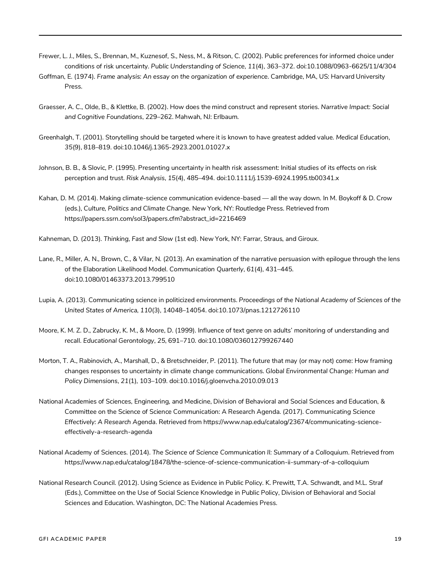- Frewer, L. J., Miles, S., Brennan, M., Kuznesof, S., Ness, M., & Ritson, C. (2002). Public preferences for informed choice under conditions of risk uncertainty. *Public Understanding of Science*, *11*(4), 363–372. doi:10.1088/0963-6625/11/4/304
- Goffman, E. (1974). *Frame analysis: An essay on the organization of experience*. Cambridge, MA, US: Harvard University Press.
- Graesser, A. C., Olde, B., & Klettke, B. (2002). How does the mind construct and represent stories. *Narrative Impact: Social and Cognitive Foundations*, 229–262. Mahwah, NJ: Erlbaum.
- Greenhalgh, T. (2001). Storytelling should be targeted where it is known to have greatest added value. *Medical Education*, *35*(9), 818–819. doi:10.1046/j.1365-2923.2001.01027.x
- Johnson, B. B., & Slovic, P. (1995). Presenting uncertainty in health risk assessment: Initial studies of its effects on risk perception and trust. *Risk Analysis*, *15*(4), 485–494. doi:10.1111/j.1539-6924.1995.tb00341.x
- Kahan, D. M. (2014). Making climate-science communication evidence-based all the way down. In M. Boykoff & D. Crow (eds.), *Culture, Politics and Climate Change*. New York, NY: Routledge Press. Retrieved from https://papers.ssrn.com/sol3/papers.cfm?abstract\_id=2216469
- Kahneman, D. (2013). *Thinking, Fast and Slow* (1st ed). New York, NY: Farrar, Straus, and Giroux.
- Lane, R., Miller, A. N., Brown, C., & Vilar, N. (2013). An examination of the narrative persuasion with epilogue through the lens of the Elaboration Likelihood Model. *Communication Quarterly*, *61*(4), 431–445. doi:10.1080/01463373.2013.799510
- Lupia, A. (2013). Communicating science in politicized environments. *Proceedings of the National Academy of Sciences of the United States of America*, *110*(3), 14048–14054. doi:10.1073/pnas.1212726110
- Moore, K. M. Z. D., Zabrucky, K. M., & Moore, D. (1999). Influence of text genre on adults' monitoring of understanding and recall. *Educational Gerontology*, *25*, 691–710. doi:10.1080/036012799267440
- Morton, T. A., Rabinovich, A., Marshall, D., & Bretschneider, P. (2011). The future that may (or may not) come: How framing changes responses to uncertainty in climate change communications. *Global Environmental Change: Human and Policy Dimensions*, *21*(1), 103–109. doi:10.1016/j.gloenvcha.2010.09.013
- National Academies of Sciences, Engineering, and Medicine, Division of Behavioral and Social Sciences and Education, & Committee on the Science of Science Communication: A Research Agenda. (2017). *Communicating Science Effectively: A Research Agenda*. Retrieved from https://www.nap.edu/catalog/23674/communicating-scienceeffectively-a-research-agenda
- National Academy of Sciences. (2014). *The Science of Science Communication II: Summary of a Colloquium*. Retrieved from https://www.nap.edu/catalog/18478/the-science-of-science-communication-ii-summary-of-a-colloquium
- National Research Council. (2012). Using Science as Evidence in Public Policy. K. Prewitt, T.A. Schwandt, and M.L. Straf (Eds.), Committee on the Use of Social Science Knowledge in Public Policy, Division of Behavioral and Social Sciences and Education. Washington, DC: The National Academies Press.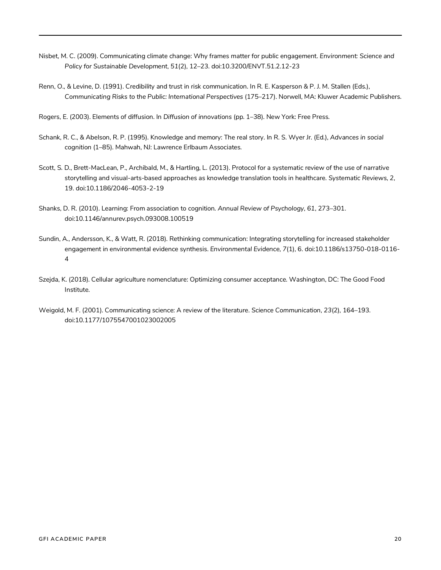- Nisbet, M. C. (2009). Communicating climate change: Why frames matter for public engagement. *Environment: Science and Policy for Sustainable Development*, *51*(2), 12–23. doi:10.3200/ENVT.51.2.12-23
- Renn, O., & Levine, D. (1991). Credibility and trust in risk communication. In R. E. Kasperson & P. J. M. Stallen (Eds.), *Communicating Risks to the Public: International Perspectives* (175–217). Norwell, MA: Kluwer Academic Publishers.
- Rogers, E. (2003). Elements of diffusion. In *Diffusion of innovations* (pp. 1–38). New York: Free Press.
- Schank, R. C., & Abelson, R. P. (1995). Knowledge and memory: The real story. In R. S. Wyer Jr. (Ed.), *Advances in social cognition* (1–85). Mahwah, NJ: Lawrence Erlbaum Associates.
- Scott, S. D., Brett-MacLean, P., Archibald, M., & Hartling, L. (2013). Protocol for a systematic review of the use of narrative storytelling and visual-arts-based approaches as knowledge translation tools in healthcare. *Systematic Reviews*, *2*, 19. doi:10.1186/2046-4053-2-19
- Shanks, D. R. (2010). Learning: From association to cognition. *Annual Review of Psychology*, *61*, 273–301. doi:10.1146/annurev.psych.093008.100519
- Sundin, A., Andersson, K., & Watt, R. (2018). Rethinking communication: Integrating storytelling for increased stakeholder engagement in environmental evidence synthesis. *Environmental Evidence*, *7*(1), 6. doi:10.1186/s13750-018-0116- 4
- Szejda, K. (2018). Cellular agriculture nomenclature: Optimizing consumer acceptance. Washington, DC: The Good Food Institute.
- Weigold, M. F. (2001). Communicating science: A review of the literature. *Science Communication*, *23*(2), 164–193. doi:10.1177/1075547001023002005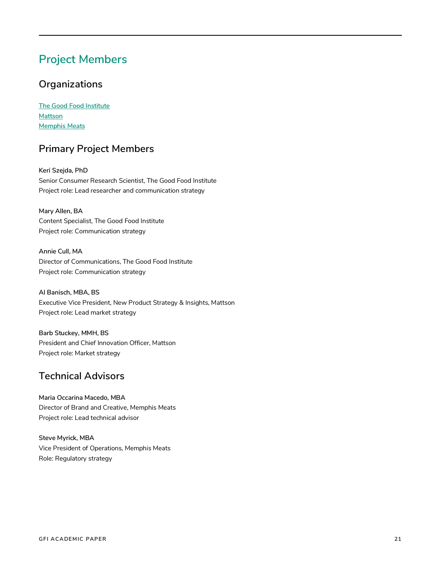# **Project Members**

### **Organizations**

**The Good Food Institute Mattson Memphis Meats**

### **Primary Project Members**

**Keri Szejda, PhD** Senior Consumer Research Scientist, The Good Food Institute Project role: Lead researcher and communication strategy

**Mary Allen, BA** Content Specialist, The Good Food Institute Project role: Communication strategy

**Annie Cull, MA** Director of Communications, The Good Food Institute Project role: Communication strategy

**Al Banisch, MBA, BS** Executive Vice President, New Product Strategy & Insights, Mattson Project role: Lead market strategy

**Barb Stuckey, MMH, BS** President and Chief Innovation Officer, Mattson Project role: Market strategy

### **Technical Advisors**

**Maria Occarina Macedo, MBA** Director of Brand and Creative, Memphis Meats Project role: Lead technical advisor

**Steve Myrick, MBA** Vice President of Operations, Memphis Meats Role: Regulatory strategy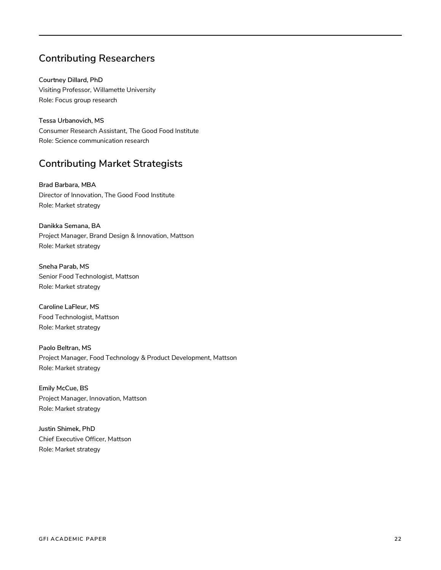### **Contributing Researchers**

**Courtney Dillard, PhD** Visiting Professor, Willamette University Role: Focus group research

**Tessa Urbanovich, MS** Consumer Research Assistant, The Good Food Institute Role: Science communication research

### **Contributing Market Strategists**

**Brad Barbara, MBA** Director of Innovation, The Good Food Institute Role: Market strategy

**Danikka Semana, BA** Project Manager, Brand Design & Innovation, Mattson Role: Market strategy

**Sneha Parab, MS** Senior Food Technologist, Mattson Role: Market strategy

**Caroline LaFleur, MS** Food Technologist, Mattson Role: Market strategy

**Paolo Beltran, MS** Project Manager, Food Technology & Product Development, Mattson Role: Market strategy

**Emily McCue, BS** Project Manager, Innovation, Mattson Role: Market strategy

**Justin Shimek, PhD** Chief Executive Officer, Mattson Role: Market strategy